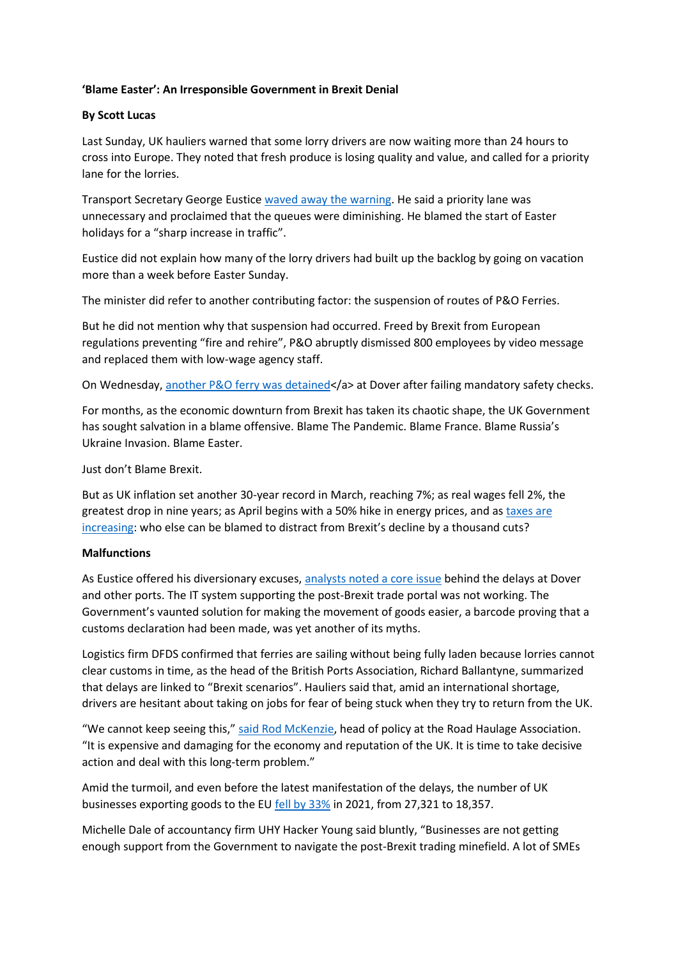## **'Blame Easter': An Irresponsible Government in Brexit Denial**

## **By Scott Lucas**

Last Sunday, UK hauliers warned that some lorry drivers are now waiting more than 24 hours to cross into Europe. They noted that fresh produce is losing quality and value, and called for a priority lane for the lorries.

Transport Secretary George Eustice [waved away the warning.](https://www.bbc.co.uk/news/business-61065847) He said a priority lane was unnecessary and proclaimed that the queues were diminishing. He blamed the start of Easter holidays for a "sharp increase in traffic".

Eustice did not explain how many of the lorry drivers had built up the backlog by going on vacation more than a week before Easter Sunday.

The minister did refer to another contributing factor: the suspension of routes of P&O Ferries.

But he did not mention why that suspension had occurred. Freed by Brexit from European regulations preventing "fire and rehire", P&O abruptly dismissed 800 employees by video message and replaced them with low-wage agency staff.

On Wednesday, [another P&O ferry was detained<](https://www.bbc.co.uk/news/business-61086897%22)/a> at Dover after failing mandatory safety checks.

For months, as the economic downturn from Brexit has taken its chaotic shape, the UK Government has sought salvation in a blame offensive. Blame The Pandemic. Blame France. Blame Russia's Ukraine Invasion. Blame Easter.

#### Just don't Blame Brexit.

But as UK inflation set another 30-year record in March, reaching 7%; as real wages fell 2%, the greatest drop in nine years; as April begins with a 50% hike in energy prices, and as [taxes are](https://centreforbrexitstudiesblog.wordpress.com/2022/04/01/april-will-be-a-cruel-month-for-the-uk-economy/)  [increasing](https://centreforbrexitstudiesblog.wordpress.com/2022/04/01/april-will-be-a-cruel-month-for-the-uk-economy/): who else can be blamed to distract from Brexit's decline by a thousand cuts?

#### **Malfunctions**

As Eustice offered his diversionary excuses, [analysts noted a core issue](https://centreforbrexitstudiesblog.wordpress.com/2022/03/09/ukraine-fire-saves-boris-johnson-from-brexit-frying-pan/) behind the delays at Dover and other ports. The IT system supporting the post-Brexit trade portal was not working. The Government's vaunted solution for making the movement of goods easier, a barcode proving that a customs declaration had been made, was yet another of its myths.

Logistics firm DFDS confirmed that ferries are sailing without being fully laden because lorries cannot clear customs in time, as the head of the British Ports Association, Richard Ballantyne, summarized that delays are linked to "Brexit scenarios". Hauliers said that, amid an international shortage, drivers are hesitant about taking on jobs for fear of being stuck when they try to return from the UK.

"We cannot keep seeing this," [said Rod McKenzie,](https://www.independent.co.uk/news/uk/politics/brexit-dover-traffic-queues-delays-b2056307.html) head of policy at the Road Haulage Association. "It is expensive and damaging for the economy and reputation of the UK. It is time to take decisive action and deal with this long-term problem."

Amid the turmoil, and even before the latest manifestation of the delays, the number of UK businesses exporting goods to the EU [fell by 33%](https://www.cityam.com/brexit-onslaught-deepens-as-a-third-of-all-uk-firms-exporting-to-eu-simply-vanish-due-to-red-tape-knockout/) in 2021, from 27,321 to 18,357.

Michelle Dale of accountancy firm UHY Hacker Young said bluntly, "Businesses are not getting enough support from the Government to navigate the post-Brexit trading minefield. A lot of SMEs